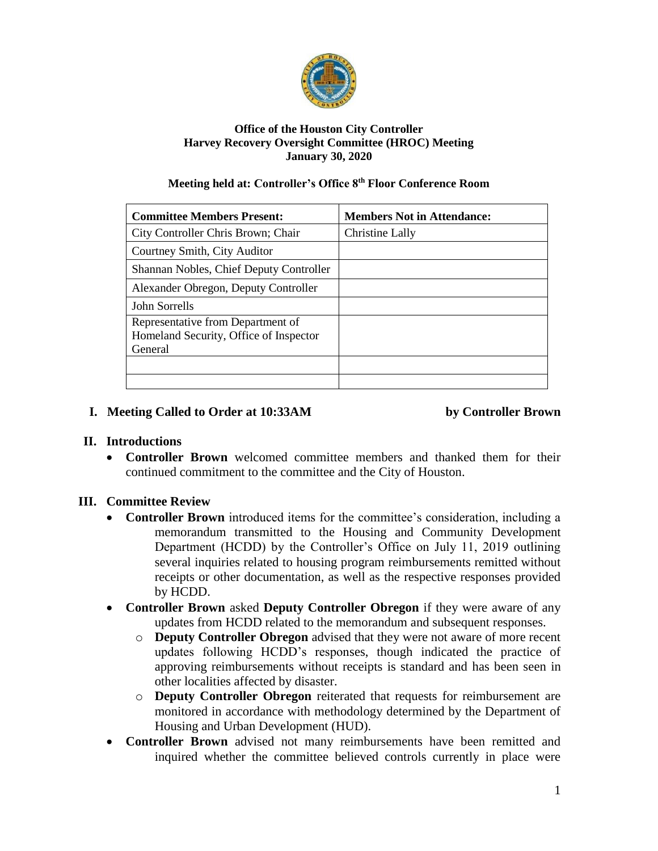

#### **Office of the Houston City Controller Harvey Recovery Oversight Committee (HROC) Meeting January 30, 2020**

#### **Meeting held at: Controller's Office 8th Floor Conference Room**

| <b>Committee Members Present:</b>                                                      | <b>Members Not in Attendance:</b> |
|----------------------------------------------------------------------------------------|-----------------------------------|
| City Controller Chris Brown; Chair                                                     | Christine Lally                   |
| Courtney Smith, City Auditor                                                           |                                   |
| Shannan Nobles, Chief Deputy Controller                                                |                                   |
| Alexander Obregon, Deputy Controller                                                   |                                   |
| John Sorrells                                                                          |                                   |
| Representative from Department of<br>Homeland Security, Office of Inspector<br>General |                                   |
|                                                                                        |                                   |
|                                                                                        |                                   |

#### **I. Meeting Called to Order at 10:33AM by Controller Brown**

# **II. Introductions**

• **Controller Brown** welcomed committee members and thanked them for their continued commitment to the committee and the City of Houston.

# **III. Committee Review**

- **Controller Brown** introduced items for the committee's consideration, including a memorandum transmitted to the Housing and Community Development Department (HCDD) by the Controller's Office on July 11, 2019 outlining several inquiries related to housing program reimbursements remitted without receipts or other documentation, as well as the respective responses provided by HCDD.
- **Controller Brown** asked **Deputy Controller Obregon** if they were aware of any updates from HCDD related to the memorandum and subsequent responses.
	- o **Deputy Controller Obregon** advised that they were not aware of more recent updates following HCDD's responses, though indicated the practice of approving reimbursements without receipts is standard and has been seen in other localities affected by disaster.
	- o **Deputy Controller Obregon** reiterated that requests for reimbursement are monitored in accordance with methodology determined by the Department of Housing and Urban Development (HUD).
- **Controller Brown** advised not many reimbursements have been remitted and inquired whether the committee believed controls currently in place were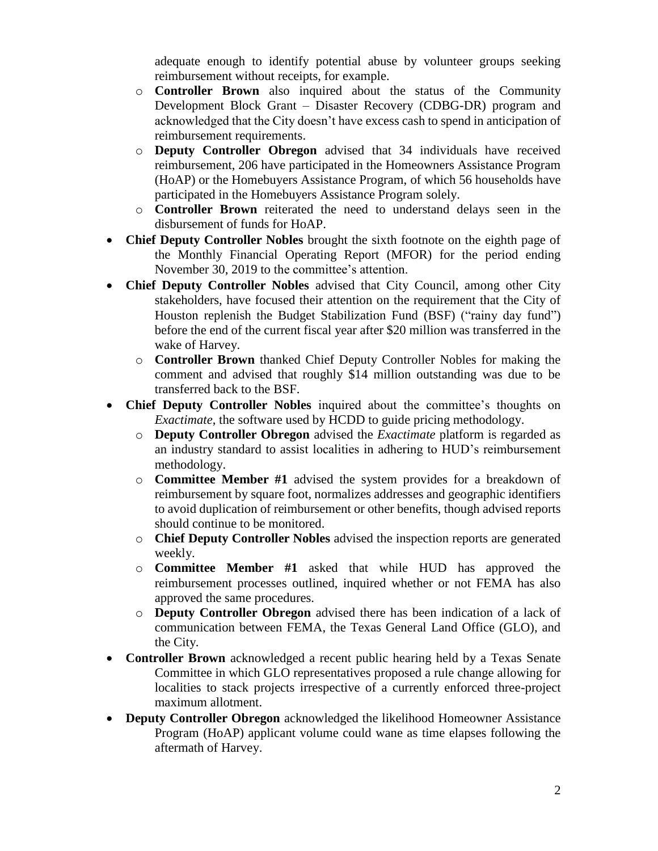adequate enough to identify potential abuse by volunteer groups seeking reimbursement without receipts, for example.

- o **Controller Brown** also inquired about the status of the Community Development Block Grant – Disaster Recovery (CDBG-DR) program and acknowledged that the City doesn't have excess cash to spend in anticipation of reimbursement requirements.
- o **Deputy Controller Obregon** advised that 34 individuals have received reimbursement, 206 have participated in the Homeowners Assistance Program (HoAP) or the Homebuyers Assistance Program, of which 56 households have participated in the Homebuyers Assistance Program solely.
- o **Controller Brown** reiterated the need to understand delays seen in the disbursement of funds for HoAP.
- **Chief Deputy Controller Nobles** brought the sixth footnote on the eighth page of the Monthly Financial Operating Report (MFOR) for the period ending November 30, 2019 to the committee's attention.
- **Chief Deputy Controller Nobles** advised that City Council, among other City stakeholders, have focused their attention on the requirement that the City of Houston replenish the Budget Stabilization Fund (BSF) ("rainy day fund") before the end of the current fiscal year after \$20 million was transferred in the wake of Harvey.
	- o **Controller Brown** thanked Chief Deputy Controller Nobles for making the comment and advised that roughly \$14 million outstanding was due to be transferred back to the BSF.
- **Chief Deputy Controller Nobles** inquired about the committee's thoughts on *Exactimate*, the software used by HCDD to guide pricing methodology.
	- o **Deputy Controller Obregon** advised the *Exactimate* platform is regarded as an industry standard to assist localities in adhering to HUD's reimbursement methodology.
	- o **Committee Member #1** advised the system provides for a breakdown of reimbursement by square foot, normalizes addresses and geographic identifiers to avoid duplication of reimbursement or other benefits, though advised reports should continue to be monitored.
	- o **Chief Deputy Controller Nobles** advised the inspection reports are generated weekly.
	- o **Committee Member #1** asked that while HUD has approved the reimbursement processes outlined, inquired whether or not FEMA has also approved the same procedures.
	- o **Deputy Controller Obregon** advised there has been indication of a lack of communication between FEMA, the Texas General Land Office (GLO), and the City.
- **Controller Brown** acknowledged a recent public hearing held by a Texas Senate Committee in which GLO representatives proposed a rule change allowing for localities to stack projects irrespective of a currently enforced three-project maximum allotment.
- **Deputy Controller Obregon** acknowledged the likelihood Homeowner Assistance Program (HoAP) applicant volume could wane as time elapses following the aftermath of Harvey.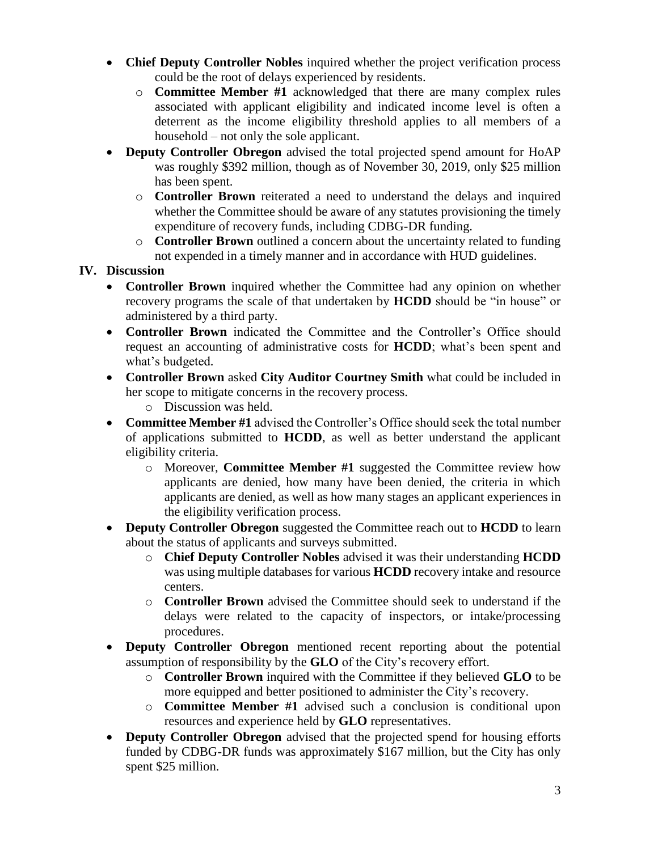- **Chief Deputy Controller Nobles** inquired whether the project verification process could be the root of delays experienced by residents.
	- o **Committee Member #1** acknowledged that there are many complex rules associated with applicant eligibility and indicated income level is often a deterrent as the income eligibility threshold applies to all members of a household – not only the sole applicant.
- **Deputy Controller Obregon** advised the total projected spend amount for HoAP was roughly \$392 million, though as of November 30, 2019, only \$25 million has been spent.
	- o **Controller Brown** reiterated a need to understand the delays and inquired whether the Committee should be aware of any statutes provisioning the timely expenditure of recovery funds, including CDBG-DR funding.
	- o **Controller Brown** outlined a concern about the uncertainty related to funding not expended in a timely manner and in accordance with HUD guidelines.

# **IV. Discussion**

- **Controller Brown** inquired whether the Committee had any opinion on whether recovery programs the scale of that undertaken by **HCDD** should be "in house" or administered by a third party.
- **Controller Brown** indicated the Committee and the Controller's Office should request an accounting of administrative costs for **HCDD**; what's been spent and what's budgeted.
- **Controller Brown** asked **City Auditor Courtney Smith** what could be included in her scope to mitigate concerns in the recovery process.
	- o Discussion was held.
- **Committee Member #1** advised the Controller's Office should seek the total number of applications submitted to **HCDD**, as well as better understand the applicant eligibility criteria.
	- o Moreover, **Committee Member #1** suggested the Committee review how applicants are denied, how many have been denied, the criteria in which applicants are denied, as well as how many stages an applicant experiences in the eligibility verification process.
- **Deputy Controller Obregon** suggested the Committee reach out to **HCDD** to learn about the status of applicants and surveys submitted.
	- o **Chief Deputy Controller Nobles** advised it was their understanding **HCDD** was using multiple databases for various **HCDD** recovery intake and resource centers.
	- o **Controller Brown** advised the Committee should seek to understand if the delays were related to the capacity of inspectors, or intake/processing procedures.
- **Deputy Controller Obregon** mentioned recent reporting about the potential assumption of responsibility by the **GLO** of the City's recovery effort.
	- o **Controller Brown** inquired with the Committee if they believed **GLO** to be more equipped and better positioned to administer the City's recovery.
	- o **Committee Member #1** advised such a conclusion is conditional upon resources and experience held by **GLO** representatives.
- **Deputy Controller Obregon** advised that the projected spend for housing efforts funded by CDBG-DR funds was approximately \$167 million, but the City has only spent \$25 million.